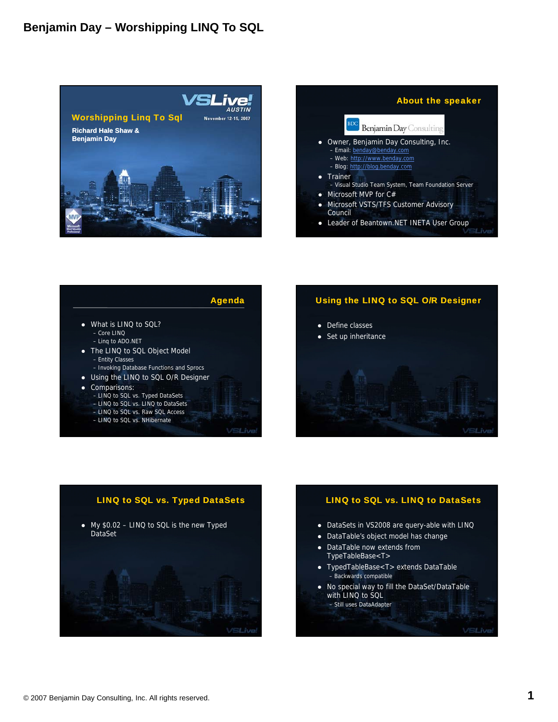





– LINQ to SQL vs. NHibernate

### **VSLive**

## Using the LINQ to SQL O/R Designer





### LINQ to SQL vs. LINQ to DataSets

- DataSets in VS2008 are query-able with LINQ
- DataTable's object model has change
- DataTable now extends from TypeTableBase<T>
- TypedTableBase<T> extends DataTable – Backwards compatible
- No special way to fill the DataSet/DataTable with LINQ to SQL – Still uses DataAdapter

VSLive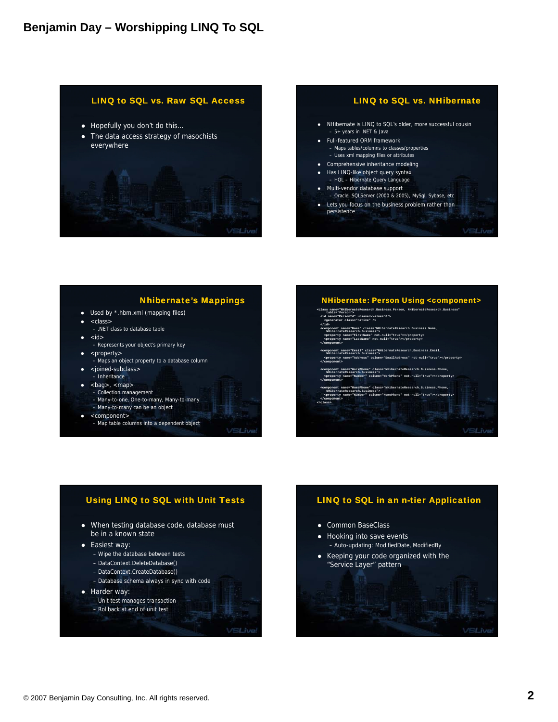## LINQ to SQL vs. Raw SQL Access

- Hopefully you don't do this...
- The data access strategy of masochists everywhere





## **Nhibernate's Mappings**

- Used by \*.hbm.xml (mapping files)
- z <class>
- .NET class to database table  $\bullet$  <id>
- Represents your object's primary key
- z <property>
- .<br>- Maps an object property to a database column
- <joined-subclass>
- Inheritance
- <bag>, <map><br>- Collection management
	- Many-to-one, One-to-many, Many-to-many
	- Many-to-many can be an object
- <component>
	- Map table columns into a dependent object
- **VSLive**

### **NHibernate: Person Using <component> <class name="NHibernateResearch.Business.Person, NHibernateResearch.Business" table="Person"> <id name="PersonId" unsaved-value="0"> <generator class="native" /> </id>** |<br>| Name" class="NHibe<br>| name, Business"> **<property name="FirstName" not-null="true"></property> <property name="LastName" not-null="true"></property>**

- **</component>**
- **ail" class="NHibernateResearch.Business.Email,<br>cob Business">**
- **<property name="Address" column="EmailAddress" not-null="true"></property> </ t> component>**
- **<component name="WorkPhone" class="NHibernateResearch.Business.Phone, NHibernateResearch.Business">**
- **<property name="Number" column="WorkPhone" not-null="true"></property> </component>**
- **<component name="HomePhone" class="NHibernateResearch.Business.Phone, NHibernateResearch.Business"> <property name="Number" column="HomePhone" not-null="true"></property>**
	- **</component> </class>**

3Live

# Using LINQ to SQL with Unit Tests • When testing database code, database must

- be in a known state
- Easiest way:
	- Wipe the database between tests
	- DataContext.DeleteDatabase()
	- DataContext.CreateDatabase()
	- Database schema always in sync with code
- Harder way:
	- Unit test manages transaction – Rollback at end of unit test

/SLive

## LINQ to SQL in an n-tier Application

- Common BaseClass
- Hooking into save events – Auto-updating: ModifiedDate, ModifiedBy
- Keeping your code organized with the "Service Layer" pattern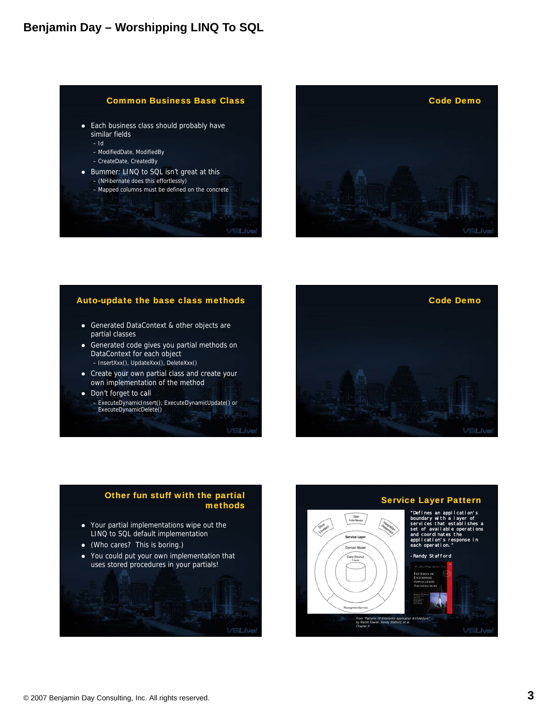



### Auto-update the base class methods

- Generated DataContext & other objects are partial classes
- Generated code gives you partial methods on DataContext for each object – InsertXxx(), UpdateXxx(), DeleteXxx()
- Create your own partial class and create your own implementation of the method
- Don't forget to call – ExecuteDynamicInsert(), ExecuteDynamicUpdate() or ExecuteDynamicDelete()

**VSLive**